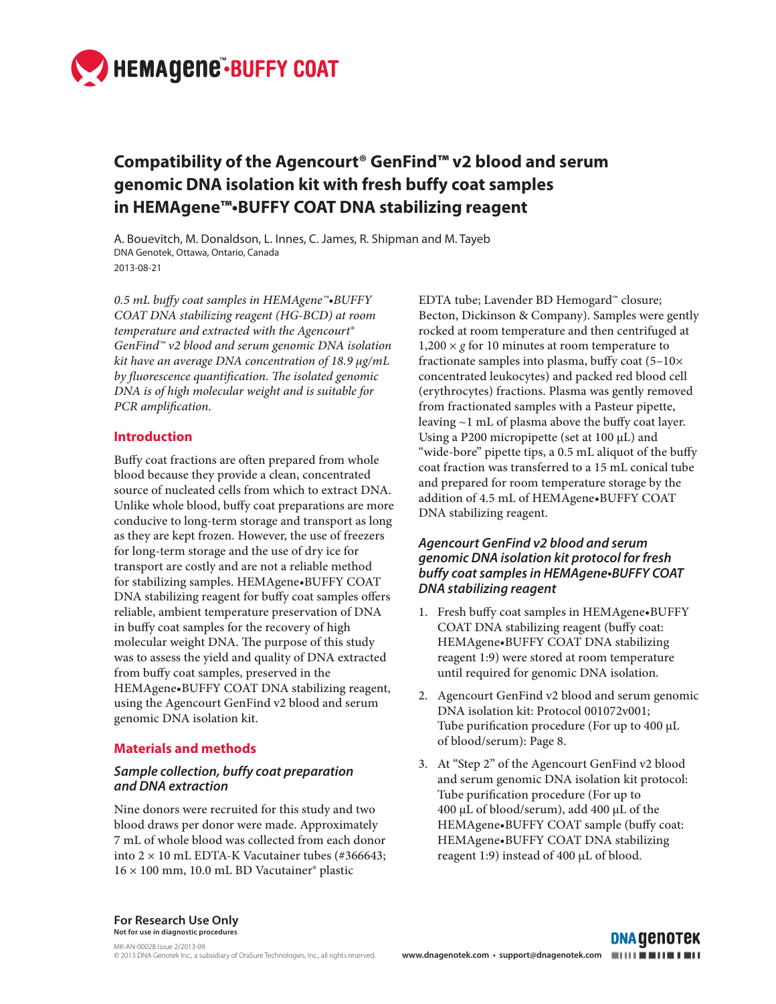

# **Compatibility of the Agencourt® GenFind™ v2 blood and serum genomic DNA isolation kit with fresh buffy coat samples in HEMAgene™•BUFFY COAT DNA stabilizing reagent**

A. Bouevitch, M. Donaldson, L. Innes, C. James, R. Shipman and M. Tayeb DNA Genotek, Ottawa, Ontario, Canada 2013-08-21

*0.5 mL buffy coat samples in HEMAgene™•BUFFY COAT DNA stabilizing reagent (HG-BCD) at room temperature and extracted with the Agencourt® GenFind™ v2 blood and serum genomic DNA isolation kit have an average DNA concentration of 18.9 µg/mL*  by fluorescence quantification. The isolated genomic *DNA is of high molecular weight and is suitable for PCR* amplification.

# **Introduction**

Buffy coat fractions are often prepared from whole blood because they provide a clean, concentrated source of nucleated cells from which to extract DNA. Unlike whole blood, buffy coat preparations are more conducive to long-term storage and transport as long as they are kept frozen. However, the use of freezers for long-term storage and the use of dry ice for transport are costly and are not a reliable method for stabilizing samples. HEMAgene•BUFFY COAT DNA stabilizing reagent for buffy coat samples offers reliable, ambient temperature preservation of DNA in buffy coat samples for the recovery of high molecular weight DNA. The purpose of this study was to assess the yield and quality of DNA extracted from buffy coat samples, preserved in the HEMAgene•BUFFY COAT DNA stabilizing reagent, using the Agencourt GenFind v2 blood and serum genomic DNA isolation kit.

#### **Materials and methods**

### *Sample collection, buffy coat preparation and DNA extraction*

Nine donors were recruited for this study and two blood draws per donor were made. Approximately 7 mL of whole blood was collected from each donor into  $2 \times 10$  mL EDTA-K Vacutainer tubes (#366643; 16 × 100 mm, 10.0 mL BD Vacutainer® plastic

EDTA tube; Lavender BD Hemogard™ closure; Becton, Dickinson & Company). Samples were gently rocked at room temperature and then centrifuged at  $1,200 \times g$  for 10 minutes at room temperature to fractionate samples into plasma, buffy coat  $(5-10\times$ concentrated leukocytes) and packed red blood cell (erythrocytes) fractions. Plasma was gently removed from fractionated samples with a Pasteur pipette, leaving  $\sim$ 1 mL of plasma above the buffy coat layer. Using a P200 micropipette (set at 100 µL) and "wide-bore" pipette tips, a 0.5 mL aliquot of the buffy coat fraction was transferred to a 15 mL conical tube and prepared for room temperature storage by the addition of 4.5 mL of HEMAgene•BUFFY COAT DNA stabilizing reagent.

## *Agencourt GenFind v2 blood and serum genomic DNA isolation kit protocol for fresh*  **buffy coat samples in HEMAgene•BUFFY COAT**  *DNA stabilizing reagent*

- 1. Fresh buffy coat samples in HEMAgene•BUFFY COAT DNA stabilizing reagent (buffy coat: HEMAgene•BUFFY COAT DNA stabilizing reagent 1:9) were stored at room temperature until required for genomic DNA isolation.
- 2. Agencourt GenFind v2 blood and serum genomic DNA isolation kit: Protocol 001072v001; Tube purification procedure (For up to 400 μL of blood/serum): Page 8.
- 3. At "Step 2" of the Agencourt GenFind v2 blood and serum genomic DNA isolation kit protocol: Tube purification procedure (For up to 400 μL of blood/serum), add 400 μL of the HEMAgene•BUFFY COAT sample (buffy coat: HEMAgene•BUFFY COAT DNA stabilizing reagent 1:9) instead of 400 µL of blood.

**For Research Use Only Not for use in diagnostic procedures**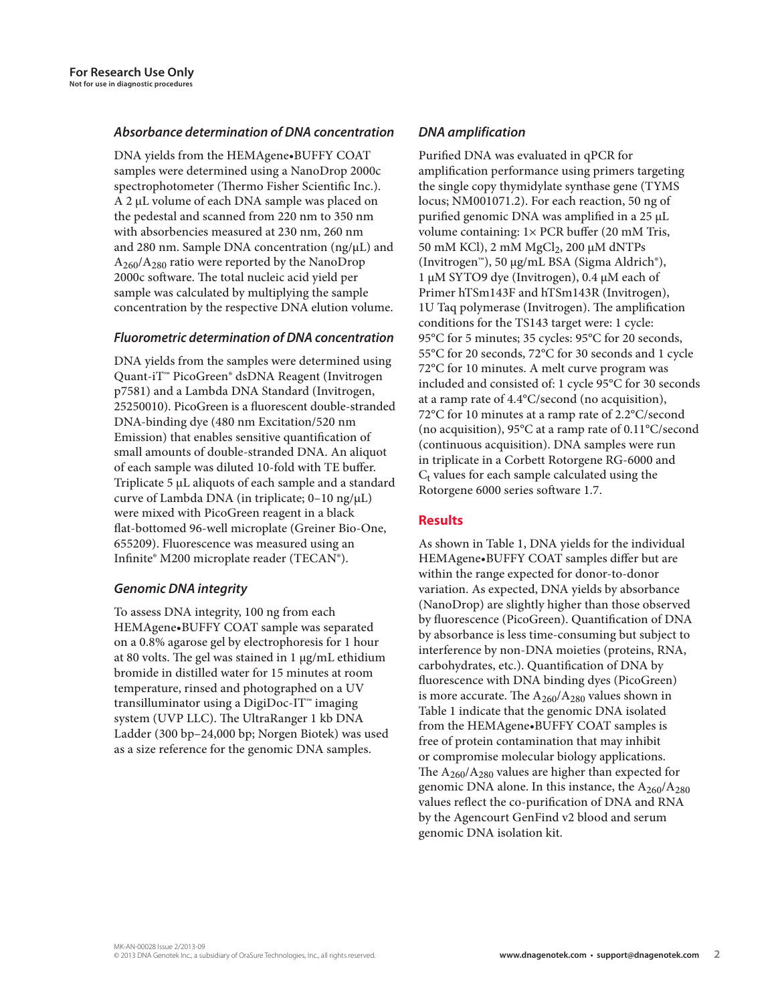# *Absorbance determination of DNA concentration*

DNA yields from the HEMAgene•BUFFY COAT samples were determined using a NanoDrop 2000c spectrophotometer (Thermo Fisher Scientific Inc.). A 2 µL volume of each DNA sample was placed on the pedestal and scanned from 220 nm to 350 nm with absorbencies measured at 230 nm, 260 nm and 280 nm. Sample DNA concentration (ng/µL) and  $A_{260}/A_{280}$  ratio were reported by the NanoDrop 2000c software. The total nucleic acid yield per sample was calculated by multiplying the sample concentration by the respective DNA elution volume.

### *Fluorometric determination of DNA concentration*

DNA yields from the samples were determined using Quant-iT™ PicoGreen® dsDNA Reagent (Invitrogen p7581) and a Lambda DNA Standard (Invitrogen, 25250010). PicoGreen is a fluorescent double-stranded DNA-binding dye (480 nm Excitation/520 nm Emission) that enables sensitive quantification of small amounts of double-stranded DNA. An aliquot of each sample was diluted 10-fold with TE buffer. Triplicate 5 μL aliquots of each sample and a standard curve of Lambda DNA (in triplicate; 0–10 ng/μL) were mixed with PicoGreen reagent in a black flat-bottomed 96-well microplate (Greiner Bio-One, 655209). Fluorescence was measured using an Infinite® M200 microplate reader (TECAN®).

# *Genomic DNA integrity*

To assess DNA integrity, 100 ng from each HEMAgene•BUFFY COAT sample was separated on a 0.8% agarose gel by electrophoresis for 1 hour at 80 volts. The gel was stained in 1 µg/mL ethidium bromide in distilled water for 15 minutes at room temperature, rinsed and photographed on a UV transilluminator using a DigiDoc-IT™ imaging system (UVP LLC). The UltraRanger 1 kb DNA Ladder (300 bp–24,000 bp; Norgen Biotek) was used as a size reference for the genomic DNA samples.

# *DNA amplification*

Purified DNA was evaluated in qPCR for amplification performance using primers targeting the single copy thymidylate synthase gene (TYMS locus; NM001071.2). For each reaction, 50 ng of purified genomic DNA was amplified in a 25 µL volume containing: 1× PCR buffer (20 mM Tris, 50 mM KCl), 2 mM MgCl<sub>2</sub>, 200 μM dNTPs (Invitrogen™), 50 µg/mL BSA (Sigma Aldrich®), 1 µM SYTO9 dye (Invitrogen), 0.4 µM each of Primer hTSm143F and hTSm143R (Invitrogen), 1U Taq polymerase (Invitrogen). The amplification conditions for the TS143 target were: 1 cycle: 95°C for 5 minutes; 35 cycles: 95°C for 20 seconds, 55°C for 20 seconds, 72°C for 30 seconds and 1 cycle 72°C for 10 minutes. A melt curve program was included and consisted of: 1 cycle 95°C for 30 seconds at a ramp rate of 4.4°C/second (no acquisition), 72°C for 10 minutes at a ramp rate of 2.2°C/second (no acquisition), 95°C at a ramp rate of 0.11°C/second (continuous acquisition). DNA samples were run in triplicate in a Corbett Rotorgene RG-6000 and  $C<sub>t</sub>$  values for each sample calculated using the Rotorgene 6000 series software 1.7.

# **Results**

As shown in Table 1, DNA yields for the individual HEMAgene•BUFFY COAT samples differ but are within the range expected for donor-to-donor variation. As expected, DNA yields by absorbance (NanoDrop) are slightly higher than those observed by fluorescence (PicoGreen). Quantification of DNA by absorbance is less time-consuming but subject to interference by non-DNA moieties (proteins, RNA, carbohydrates, etc.). Quantification of DNA by fluorescence with DNA binding dyes (PicoGreen) is more accurate. The  $A_{260}/A_{280}$  values shown in Table 1 indicate that the genomic DNA isolated from the HEMAgene•BUFFY COAT samples is free of protein contamination that may inhibit or compromise molecular biology applications. The  $A_{260}/A_{280}$  values are higher than expected for genomic DNA alone. In this instance, the  $A_{260}/A_{280}$ values reflect the co-purification of DNA and RNA by the Agencourt GenFind v2 blood and serum genomic DNA isolation kit.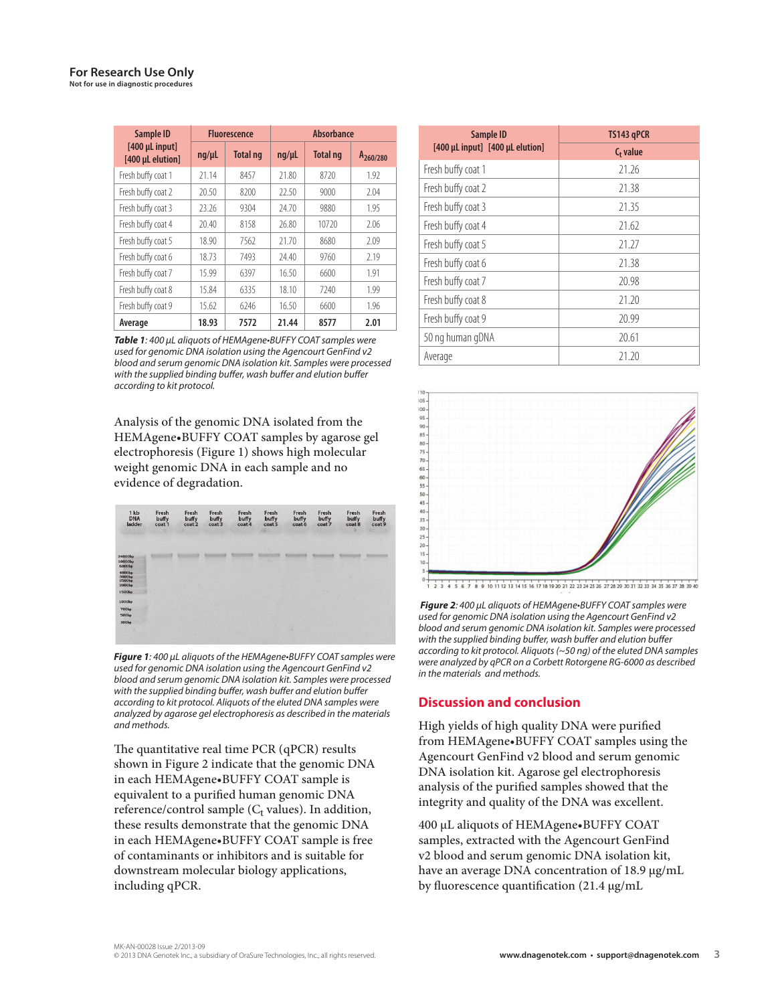| <b>Sample ID</b>                   |            | <b>Fluorescence</b> | <b>Absorbance</b> |                 |                      |  |
|------------------------------------|------------|---------------------|-------------------|-----------------|----------------------|--|
| [400 µL input]<br>[400 µL elution] | $nq/\mu L$ | <b>Total ng</b>     | $nq/\mu L$        | <b>Total ng</b> | A <sub>260/280</sub> |  |
| Fresh buffy coat 1                 | 21.14      | 8457                | 21.80             | 8720            | 1.92                 |  |
| Fresh buffy coat 2                 | 20.50      | 8200                | 22.50             | 9000            | 2.04                 |  |
| Fresh buffy coat 3                 | 23.26      | 9304                | 24.70             | 9880            | 1.95                 |  |
| Fresh buffy coat 4                 | 20.40      | 8158                | 26.80             | 10720           | 2.06                 |  |
| Fresh buffy coat 5                 | 18.90      | 7562                | 21.70             | 8680            | 2.09                 |  |
| Fresh buffy coat 6                 | 18.73      | 7493                | 24.40             | 9760            | 2.19                 |  |
| Fresh buffy coat 7                 | 15.99      | 6397                | 16.50             | 6600            | 1.91                 |  |
| Fresh buffy coat 8                 | 15.84      | 6335                | 18.10             | 7240            | 1.99                 |  |
| Fresh buffy coat 9                 | 15.62      | 6246                | 16.50             | 6600            | 1.96                 |  |
| Average                            | 18.93      | 7572                | 21.44             | 8577            | 2.01                 |  |

*Table 1*: 400 µL aliquots of HEMAgene•BUFFY COAT samples were used for genomic DNA isolation using the Agencourt GenFind v2 blood and serum genomic DNA isolation kit. Samples were processed with the supplied binding buffer, wash buffer and elution buffer according to kit protocol.

Analysis of the genomic DNA isolated from the HEMAgene•BUFFY COAT samples by agarose gel electrophoresis (Figure 1) shows high molecular weight genomic DNA in each sample and no evidence of degradation.

| 1 <sub>kb</sub><br><b>DNA</b><br>ladder | Fresh<br>buffy<br>coat 1<br>× | Fresh<br>buffy<br>coat 2 | Fresh<br>buffy<br>coat 3 | Fresh<br>buffy<br>coat 4 | Fresh<br>buffy<br>coat 5<br>48% | Fresh<br>buffy<br>coat 6 | Fresh<br>buffy<br>coat 7 | Fresh<br>buffy<br>coat 8 | Fresh<br>buffy<br>coat 9<br>55 |  |
|-----------------------------------------|-------------------------------|--------------------------|--------------------------|--------------------------|---------------------------------|--------------------------|--------------------------|--------------------------|--------------------------------|--|
| <b>STATISTICS</b>                       |                               |                          |                          |                          |                                 |                          |                          |                          |                                |  |
|                                         |                               |                          |                          |                          |                                 |                          |                          |                          |                                |  |
| 24000bp                                 |                               |                          |                          |                          |                                 |                          |                          |                          |                                |  |
| 10000bp<br>6000bp                       |                               |                          |                          |                          |                                 |                          |                          |                          |                                |  |
| 4000bp<br>3000bp<br>2500bp              |                               |                          |                          |                          |                                 |                          |                          |                          |                                |  |
|                                         |                               |                          |                          |                          |                                 |                          |                          |                          |                                |  |
| 2000bp                                  |                               |                          |                          |                          |                                 |                          |                          |                          |                                |  |
| 1500bp                                  |                               |                          |                          |                          |                                 |                          |                          |                          |                                |  |
| 1000bp                                  |                               |                          |                          |                          |                                 |                          |                          |                          |                                |  |
| 700bp                                   |                               |                          |                          |                          |                                 |                          |                          |                          |                                |  |
| 500bp                                   |                               |                          |                          |                          |                                 |                          |                          |                          |                                |  |
| 300bp                                   |                               |                          |                          |                          |                                 |                          |                          |                          |                                |  |
|                                         |                               |                          |                          |                          |                                 | ×                        |                          |                          |                                |  |
|                                         |                               |                          |                          |                          |                                 |                          |                          |                          |                                |  |

*Figure 1*: 400 µL aliquots of the HEMAgene•BUFFY COAT samples were used for genomic DNA isolation using the Agencourt GenFind v2 blood and serum genomic DNA isolation kit. Samples were processed with the supplied binding buffer, wash buffer and elution buffer according to kit protocol. Aliquots of the eluted DNA samples were analyzed by agarose gel electrophoresis as described in the materials and methods.

The quantitative real time PCR  $(qPCR)$  results shown in Figure 2 indicate that the genomic DNA in each HEMAgene•BUFFY COAT sample is equivalent to a purified human genomic DNA reference/control sample ( $C_t$  values). In addition, these results demonstrate that the genomic DNA in each HEMAgene•BUFFY COAT sample is free of contaminants or inhibitors and is suitable for downstream molecular biology applications, including qPCR.

| Sample ID                       | TS143 qPCR  |  |  |  |
|---------------------------------|-------------|--|--|--|
| [400 µL input] [400 µL elution] | $C_t$ value |  |  |  |
| Fresh buffy coat 1              | 21 26       |  |  |  |
| Fresh buffy coat 2              | 21.38       |  |  |  |
| Fresh buffy coat 3              | 21.35       |  |  |  |
| Fresh buffy coat 4              | 21.62       |  |  |  |
| Fresh buffy coat 5              | 21 27       |  |  |  |
| Fresh buffy coat 6              | 21.38       |  |  |  |
| Fresh buffy coat 7              | 20.98       |  |  |  |
| Fresh buffy coat 8              | 21 20       |  |  |  |
| Fresh buffy coat 9              | 20.99       |  |  |  |
| 50 ng human gDNA                | 20.61       |  |  |  |
| Average                         | 21.20       |  |  |  |



 *Figure 2*: 400 µL aliquots of HEMAgene•BUFFY COAT samples were used for genomic DNA isolation using the Agencourt GenFind v2 blood and serum genomic DNA isolation kit. Samples were processed with the supplied binding buffer, wash buffer and elution buffer according to kit protocol. Aliquots (~50 ng) of the eluted DNA samples were analyzed by qPCR on a Corbett Rotorgene RG-6000 as described in the materials and methods.

# **Discussion and conclusion**

High yields of high quality DNA were purified from HEMAgene•BUFFY COAT samples using the Agencourt GenFind v2 blood and serum genomic DNA isolation kit. Agarose gel electrophoresis analysis of the purified samples showed that the integrity and quality of the DNA was excellent.

400 µL aliquots of HEMAgene•BUFFY COAT samples, extracted with the Agencourt GenFind v2 blood and serum genomic DNA isolation kit, have an average DNA concentration of 18.9 µg/mL by fluorescence quantification  $(21.4 \,\mu g/mL)$